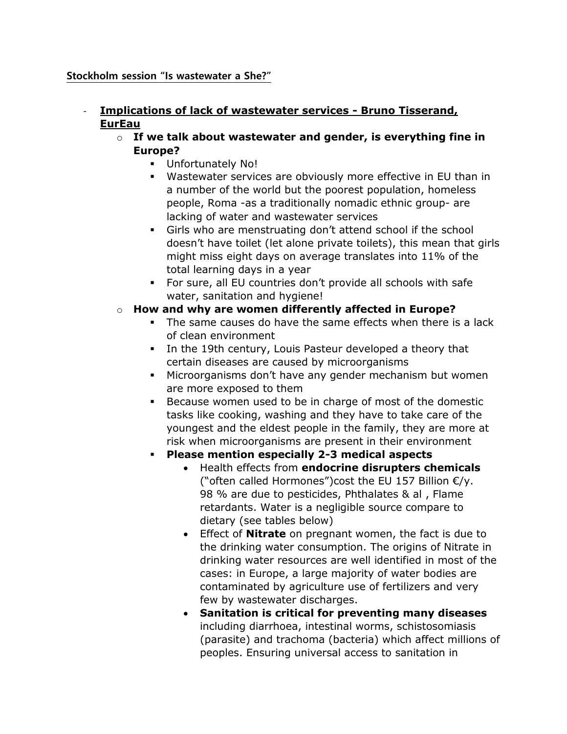#### **Stockholm session "Is wastewater a She?"**

### - **Implications of lack of wastewater services - Bruno Tisserand, EurEau**

- o **If we talk about wastewater and gender, is everything fine in Europe?**
	- **Unfortunately No!**
	- Wastewater services are obviously more effective in EU than in a number of the world but the poorest population, homeless people, Roma -as a traditionally [nomadic](https://en.wikipedia.org/wiki/Nomad) ethnic group- are lacking of water and wastewater services
	- Girls who are menstruating don't attend school if the school doesn't have toilet (let alone private toilets), this mean that girls might miss eight days on average translates into 11% of the total learning days in a year
	- For sure, all EU countries don't provide all schools with safe water, sanitation and hygiene!
- o **How and why are women differently affected in Europe?**
	- The same causes do have the same effects when there is a lack of clean environment
	- In the 19th century, Louis Pasteur developed a theory that certain diseases are caused by microorganisms
	- Microorganisms don't have any gender mechanism but women are more exposed to them
	- Because women used to be in charge of most of the domestic tasks like cooking, washing and they have to take care of the youngest and the eldest people in the family, they are more at risk when microorganisms are present in their environment

## **Please mention especially 2-3 medical aspects**

- Health effects from **endocrine disrupters chemicals** ("often called Hormones")cost the EU 157 Billion €/y. 98 % are due to pesticides, Phthalates & al , Flame retardants. Water is a negligible source compare to dietary (see tables below)
- Effect of **Nitrate** on pregnant women, the fact is due to the drinking water consumption. The origins of Nitrate in drinking water resources are well identified in most of the cases: in Europe, a large majority of water bodies are contaminated by agriculture use of fertilizers and very few by wastewater discharges.
- **Sanitation is critical for preventing many diseases** including diarrhoea, intestinal worms, schistosomiasis (parasite) and trachoma (bacteria) which affect millions of peoples. Ensuring universal access to sanitation in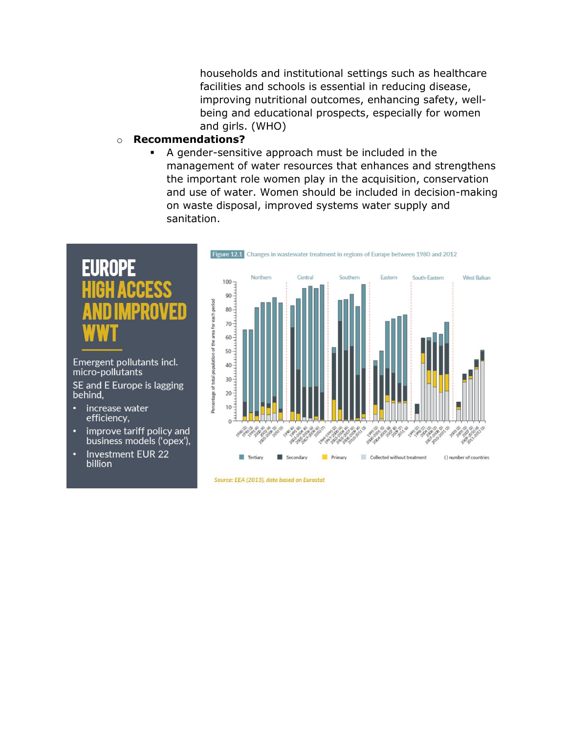households and institutional settings such as healthcare facilities and schools is essential in reducing disease, improving nutritional outcomes, enhancing safety, wellbeing and educational prospects, especially for women and girls. (WHO)

#### o **Recommendations?**

 A gender-sensitive approach must be included in the management of water resources that enhances and strengthens the important role women play in the acquisition, conservation and use of water. Women should be included in decision-making on waste disposal, improved systems water supply and sanitation.



Emergent pollutants incl. micro-pollutants SE and E Europe is lagging behind,

- increase water o efficiency,
- improve tariff policy and  $\bullet$ business models ('opex'),
- **Investment EUR 22** o billion



Source: EEA (2013), data based on Eurostat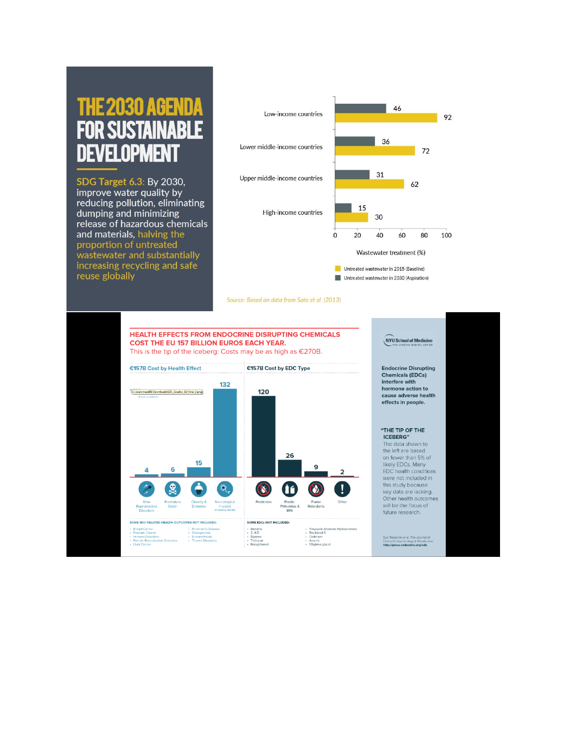# AGEN **32030** SISTA fi opmen

SDG Target 6.3: By 2030, improve water quality by reducing pollution, eliminating dumping and minimizing release of hazardous chemicals and materials, halving the proportion of untreated wastewater and substantially increasing recycling and safe reuse globally



Source: Based on data from Sato et al. (2013)